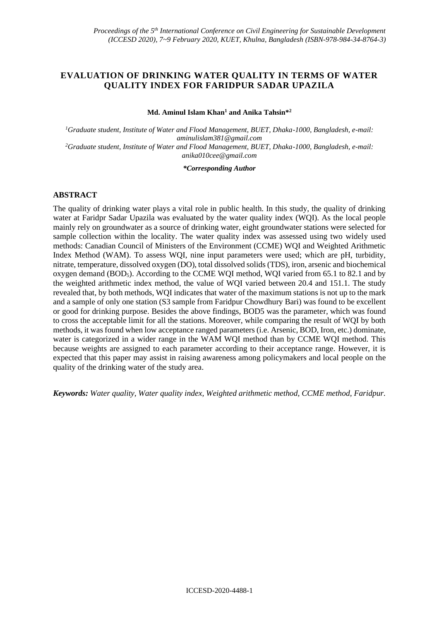## **EVALUATION OF DRINKING WATER QUALITY IN TERMS OF WATER QUALITY INDEX FOR FARIDPUR SADAR UPAZILA**

**Md. Aminul Islam Khan<sup>1</sup> and Anika Tahsin\*<sup>2</sup>**

*<sup>1</sup>Graduate student, Institute of Water and Flood Management, BUET, Dhaka-1000, Bangladesh, e-mail: [aminulislam381@gmail.com](mailto:aminulislam381@gmail.com) <sup>2</sup>Graduate student, Institute of Water and Flood Management, BUET, Dhaka-1000, Bangladesh, e-mail: [anika010cee@gmail.com](mailto:anika010cee@gmail.com)* 

*\*Corresponding Author*

### **ABSTRACT**

The quality of drinking water plays a vital role in public health. In this study, the quality of drinking water at Faridpr Sadar Upazila was evaluated by the water quality index (WQI). As the local people mainly rely on groundwater as a source of drinking water, eight groundwater stations were selected for sample collection within the locality. The water quality index was assessed using two widely used methods: Canadian Council of Ministers of the Environment (CCME) WQI and Weighted Arithmetic Index Method (WAM). To assess WQI, nine input parameters were used; which are pH, turbidity, nitrate, temperature, dissolved oxygen (DO), total dissolved solids (TDS), iron, arsenic and biochemical oxygen demand (BOD<sub>5</sub>). According to the CCME WQI method, WQI varied from 65.1 to 82.1 and by the weighted arithmetic index method, the value of WQI varied between 20.4 and 151.1. The study revealed that, by both methods, WQI indicates that water of the maximum stations is not up to the mark and a sample of only one station (S3 sample from Faridpur Chowdhury Bari) was found to be excellent or good for drinking purpose. Besides the above findings, BOD5 was the parameter, which was found to cross the acceptable limit for all the stations. Moreover, while comparing the result of WQI by both methods, it was found when low acceptance ranged parameters (i.e. Arsenic, BOD, Iron, etc.) dominate, water is categorized in a wider range in the WAM WQI method than by CCME WQI method. This because weights are assigned to each parameter according to their acceptance range. However, it is expected that this paper may assist in raising awareness among policymakers and local people on the quality of the drinking water of the study area.

*Keywords: Water quality, Water quality index, Weighted arithmetic method, CCME method, Faridpur.*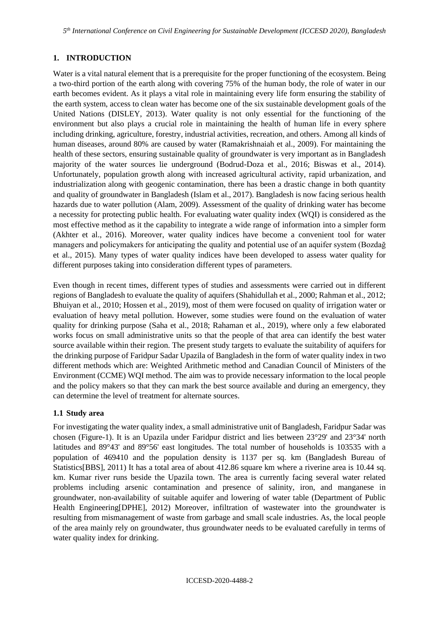# **1. INTRODUCTION**

Water is a vital natural element that is a prerequisite for the proper functioning of the ecosystem. Being a two-third portion of the earth along with covering 75% of the human body, the role of water in our earth becomes evident. As it plays a vital role in maintaining every life form ensuring the stability of the earth system, access to clean water has become one of the six sustainable development goals of the United Nations (DISLEY, 2013). Water quality is not only essential for the functioning of the environment but also plays a crucial role in maintaining the health of human life in every sphere including drinking, agriculture, forestry, industrial activities, recreation, and others. Among all kinds of human diseases, around 80% are caused by water (Ramakrishnaiah et al., 2009). For maintaining the health of these sectors, ensuring sustainable quality of groundwater is very important as in Bangladesh majority of the water sources lie underground (Bodrud-Doza et al., 2016; Biswas et al., 2014). Unfortunately, population growth along with increased agricultural activity, rapid urbanization, and industrialization along with geogenic contamination, there has been a drastic change in both quantity and quality of groundwater in Bangladesh (Islam et al., 2017). Bangladesh is now facing serious health hazards due to water pollution (Alam, 2009). Assessment of the quality of drinking water has become a necessity for protecting public health. For evaluating water quality index (WQI) is considered as the most effective method as it the capability to integrate a wide range of information into a simpler form (Akhter et al., 2016). Moreover, water quality indices have become a convenient tool for water managers and policymakers for anticipating the quality and potential use of an aquifer system (Bozdağ et al., 2015). Many types of water quality indices have been developed to assess water quality for different purposes taking into consideration different types of parameters.

Even though in recent times, different types of studies and assessments were carried out in different regions of Bangladesh to evaluate the quality of aquifers (Shahidullah et al., 2000; Rahman et al., 2012; Bhuiyan et al., 2010; Hossen et al., 2019), most of them were focused on quality of irrigation water or evaluation of heavy metal pollution. However, some studies were found on the evaluation of water quality for drinking purpose (Saha et al., 2018; Rahaman et al., 2019), where only a few elaborated works focus on small administrative units so that the people of that area can identify the best water source available within their region. The present study targets to evaluate the suitability of aquifers for the drinking purpose of Faridpur Sadar Upazila of Bangladesh in the form of water quality index in two different methods which are: Weighted Arithmetic method and Canadian Council of Ministers of the Environment (CCME) WQI method. The aim was to provide necessary information to the local people and the policy makers so that they can mark the best source available and during an emergency, they can determine the level of treatment for alternate sources.

## **1.1 Study area**

For investigating the water quality index, a small administrative unit of Bangladesh, Faridpur Sadar was chosen (Figure-1). It is an Upazila under Faridpur district and lies between 23°29' and 23°34' north latitudes and 89°43' and 89°56' east longitudes. The total number of households is 103535 with a population of 469410 and the population density is 1137 per sq. km (Bangladesh Bureau of Statistics[BBS], 2011) It has a total area of about 412.86 square km where a riverine area is 10.44 sq. km. Kumar river runs beside the Upazila town. The area is currently facing several water related problems including arsenic contamination and presence of salinity, iron, and manganese in groundwater, non-availability of suitable aquifer and lowering of water table (Department of Public Health Engineering[DPHE], 2012) Moreover, infiltration of wastewater into the groundwater is resulting from mismanagement of waste from garbage and small scale industries. As, the local people of the area mainly rely on groundwater, thus groundwater needs to be evaluated carefully in terms of water quality index for drinking.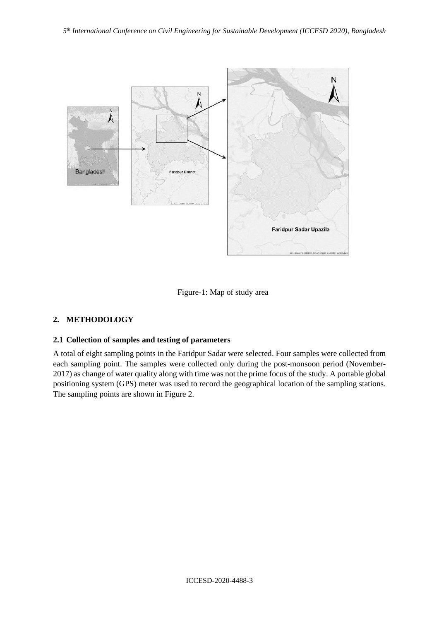



# **2. METHODOLOGY**

## **2.1 Collection of samples and testing of parameters**

A total of eight sampling points in the Faridpur Sadar were selected. Four samples were collected from each sampling point. The samples were collected only during the post-monsoon period (November-2017) as change of water quality along with time was not the prime focus of the study. A portable global positioning system (GPS) meter was used to record the geographical location of the sampling stations. The sampling points are shown in Figure 2.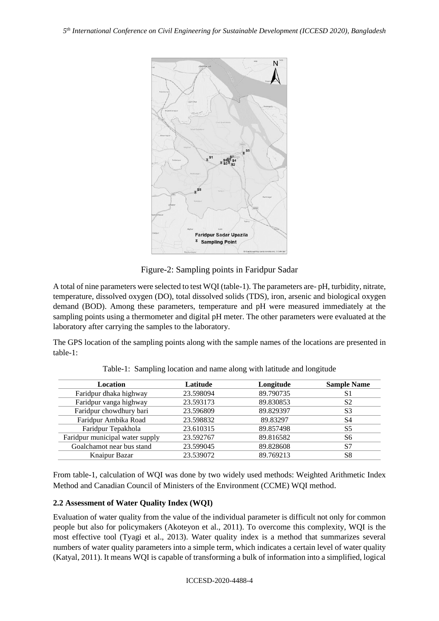

Figure-2: Sampling points in Faridpur Sadar

A total of nine parameters were selected to test WQI (table-1). The parameters are- pH, turbidity, nitrate, temperature, dissolved oxygen (DO), total dissolved solids (TDS), iron, arsenic and biological oxygen demand (BOD). Among these parameters, temperature and pH were measured immediately at the sampling points using a thermometer and digital pH meter. The other parameters were evaluated at the laboratory after carrying the samples to the laboratory.

The GPS location of the sampling points along with the sample names of the locations are presented in table-1:

| <b>Location</b>                 | Latitude  | Longitude | <b>Sample Name</b> |
|---------------------------------|-----------|-----------|--------------------|
| Faridpur dhaka highway          | 23.598094 | 89.790735 | S1                 |
| Faridpur vanga highway          | 23.593173 | 89.830853 | S <sub>2</sub>     |
| Faridpur chowdhury bari         | 23.596809 | 89.829397 | S <sub>3</sub>     |
| Faridpur Ambika Road            | 23.598832 | 89.83297  | S4                 |
| Faridpur Tepakhola              | 23.610315 | 89.857498 | S <sub>5</sub>     |
| Faridpur municipal water supply | 23.592767 | 89.816582 | S6                 |
| Goalchamot near bus stand       | 23.599045 | 89.828608 | S7                 |
| Knaipur Bazar                   | 23.539072 | 89.769213 | S8                 |

Table-1: Sampling location and name along with latitude and longitude

From table-1, calculation of WQI was done by two widely used methods: Weighted Arithmetic Index Method and Canadian Council of Ministers of the Environment (CCME) WQI method.

## **2.2 Assessment of Water Quality Index (WQI)**

Evaluation of water quality from the value of the individual parameter is difficult not only for common people but also for policymakers (Akoteyon et al., 2011). To overcome this complexity, WQI is the most effective tool (Tyagi et al., 2013). Water quality index is a method that summarizes several numbers of water quality parameters into a simple term, which indicates a certain level of water quality (Katyal, 2011). It means WQI is capable of transforming a bulk of information into a simplified, logical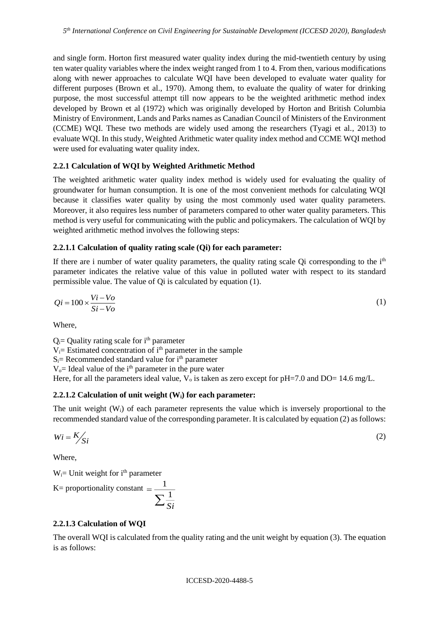and single form. Horton first measured water quality index during the mid-twentieth century by using ten water quality variables where the index weight ranged from 1 to 4. From then, various modifications along with newer approaches to calculate WQI have been developed to evaluate water quality for different purposes (Brown et al., 1970). Among them, to evaluate the quality of water for drinking purpose, the most successful attempt till now appears to be the weighted arithmetic method index developed by Brown et al (1972) which was originally developed by Horton and British Columbia Ministry of Environment, Lands and Parks names as Canadian Council of Ministers of the Environment (CCME) WQI. These two methods are widely used among the researchers (Tyagi et al., 2013) to evaluate WQI. In this study, Weighted Arithmetic water quality index method and CCME WQI method were used for evaluating water quality index.

## **2.2.1 Calculation of WQI by Weighted Arithmetic Method**

The weighted arithmetic water quality index method is widely used for evaluating the quality of groundwater for human consumption. It is one of the most convenient methods for calculating WQI because it classifies water quality by using the most commonly used water quality parameters. Moreover, it also requires less number of parameters compared to other water quality parameters. This method is very useful for communicating with the public and policymakers. The calculation of WQI by weighted arithmetic method involves the following steps:

### **2.2.1.1 Calculation of quality rating scale (Qi) for each parameter:**

If there are i number of water quality parameters, the quality rating scale  $Qi$  corresponding to the  $i<sup>th</sup>$ parameter indicates the relative value of this value in polluted water with respect to its standard permissible value. The value of Qi is calculated by equation (1).

$$
Qi = 100 \times \frac{Vi - Vo}{Si - Vo}
$$
 (1)

Where,

 $Q_i$  = Quality rating scale for i<sup>th</sup> parameter  $V_i$  Estimated concentration of  $i<sup>th</sup>$  parameter in the sample  $S_i$ = Recommended standard value for  $i<sup>th</sup>$  parameter  $V<sub>o</sub>=$  Ideal value of the i<sup>th</sup> parameter in the pure water Here, for all the parameters ideal value,  $V_0$  is taken as zero except for pH=7.0 and DO= 14.6 mg/L.

### **2.2.1.2 Calculation of unit weight (Wi) for each parameter:**

The unit weight  $(W_i)$  of each parameter represents the value which is inversely proportional to the recommended standard value of the corresponding parameter. It is calculated by equation (2) as follows:

$$
Wi = K /_{Si}
$$
 (2)

Where,

 $W_i =$  Unit weight for  $i<sup>th</sup>$  parameter

K= proportionality constant 
$$
=
$$
  $\frac{1}{\sum \frac{1}{Si}}$ 

**2.2.1.3 Calculation of WQI**

The overall WQI is calculated from the quality rating and the unit weight by equation (3). The equation is as follows: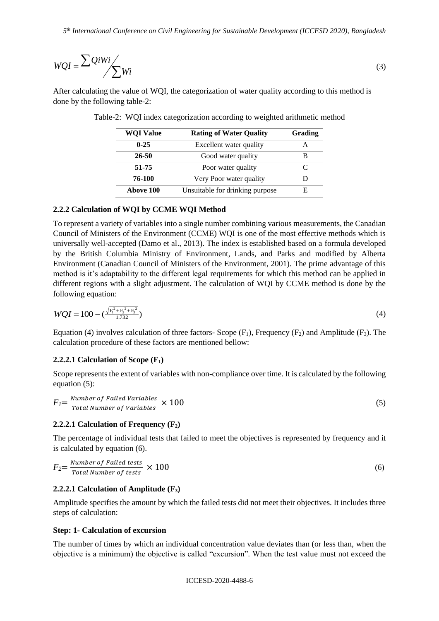$$
WQI = \frac{\sum QiWi}{\sum Wi}
$$
 (3)

After calculating the value of WQI, the categorization of water quality according to this method is done by the following table-2:

| <b>WQI Value</b> | <b>Rating of Water Quality</b>  | Grading |
|------------------|---------------------------------|---------|
| $0 - 25$         | Excellent water quality         | А       |
| 26-50            | Good water quality              | в       |
| 51-75            | Poor water quality              |         |
| 76-100           | Very Poor water quality         |         |
| Above 100        | Unsuitable for drinking purpose | E,      |

|  |  |  |  | Table-2: WQI index categorization according to weighted arithmetic method |  |
|--|--|--|--|---------------------------------------------------------------------------|--|
|  |  |  |  |                                                                           |  |

### **2.2.2 Calculation of WQI by CCME WQI Method**

To represent a variety of variables into a single number combining various measurements, the Canadian Council of Ministers of the Environment (CCME) WQI is one of the most effective methods which is universally well-accepted (Damo et al., 2013). The index is established based on a formula developed by the British Columbia Ministry of Environment, Lands, and Parks and modified by Alberta Environment (Canadian Council of Ministers of the Environment, 2001). The prime advantage of this method is it's adaptability to the different legal requirements for which this method can be applied in different regions with a slight adjustment. The calculation of WQI by CCME method is done by the following equation:

$$
WQI = 100 - \left(\frac{\sqrt{F_1^2 + F_2^2 + F_3^2}}{1.732}\right)
$$
 (4)

Equation (4) involves calculation of three factors- Scope  $(F_1)$ , Frequency  $(F_2)$  and Amplitude  $(F_3)$ . The calculation procedure of these factors are mentioned bellow:

#### **2.2.2.1 Calculation of Scope (F1)**

Scope represents the extent of variables with non-compliance over time. It is calculated by the following equation (5):

$$
F_I = \frac{Number\ of\ Failed\ Variables}{Total\ Number\ of\ Variables} \times 100\tag{5}
$$

#### **2.2.2.1 Calculation of Frequency (F2)**

The percentage of individual tests that failed to meet the objectives is represented by frequency and it is calculated by equation (6).

$$
F_2 = \frac{Number\ of\ Failed\ tests}{Total\ Number\ of\ tests} \times 100\tag{6}
$$

### **2.2.2.1 Calculation of Amplitude (F3)**

Amplitude specifies the amount by which the failed tests did not meet their objectives. It includes three steps of calculation:

#### **Step: 1- Calculation of excursion**

The number of times by which an individual concentration value deviates than (or less than, when the objective is a minimum) the objective is called "excursion". When the test value must not exceed the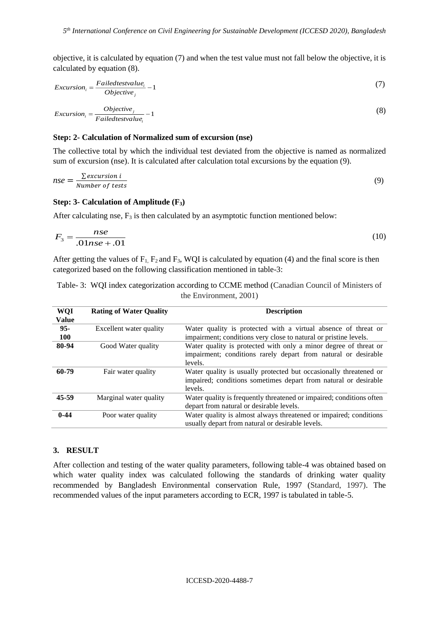objective, it is calculated by equation (7) and when the test value must not fall below the objective, it is calculated by equation (8).

$$
Excursion_i = \frac{Failedtestvalue_i}{Objective_j} - 1
$$
\n(7)

$$
Excursion_i = \frac{Objective_j}{Failed testvalue_i} - 1
$$
\n(8)

#### **Step: 2- Calculation of Normalized sum of excursion (nse)**

The collective total by which the individual test deviated from the objective is named as normalized sum of excursion (nse). It is calculated after calculation total excursions by the equation (9).

$$
nse = \frac{\sum excursion\ i}{Number\ of\ tests} \tag{9}
$$

### **Step: 3- Calculation of Amplitude (F3)**

After calculating nse,  $F_3$  is then calculated by an asymptotic function mentioned below:

$$
F_3 = \frac{nse}{.01nse + .01} \tag{10}
$$

After getting the values of  $F_1$ ,  $F_2$  and  $F_3$ , WQI is calculated by equation (4) and the final score is then categorized based on the following classification mentioned in table-3:

| Table-3: WQI index categorization according to CCME method (Canadian Council of Ministers of |
|----------------------------------------------------------------------------------------------|
| the Environment, 2001)                                                                       |

| <b>WQI</b>   | <b>Rating of Water Quality</b> | <b>Description</b>                                                   |
|--------------|--------------------------------|----------------------------------------------------------------------|
| <b>Value</b> |                                |                                                                      |
| $95 -$       | Excellent water quality        | Water quality is protected with a virtual absence of threat or       |
| <b>100</b>   |                                | impairment; conditions very close to natural or pristine levels.     |
| 80-94        | Good Water quality             | Water quality is protected with only a minor degree of threat or     |
|              |                                | impairment; conditions rarely depart from natural or desirable       |
|              |                                | levels.                                                              |
| 60-79        | Fair water quality             | Water quality is usually protected but occasionally threatened or    |
|              |                                | impaired; conditions sometimes depart from natural or desirable      |
|              |                                | levels.                                                              |
| 45-59        | Marginal water quality         | Water quality is frequently threatened or impaired; conditions often |
|              |                                | depart from natural or desirable levels.                             |
| $0 - 44$     | Poor water quality             | Water quality is almost always threatened or impaired; conditions    |
|              |                                | usually depart from natural or desirable levels.                     |

#### **3. RESULT**

After collection and testing of the water quality parameters, following table-4 was obtained based on which water quality index was calculated following the standards of drinking water quality recommended by Bangladesh Environmental conservation Rule, 1997 (Standard, 1997). The recommended values of the input parameters according to ECR, 1997 is tabulated in table-5.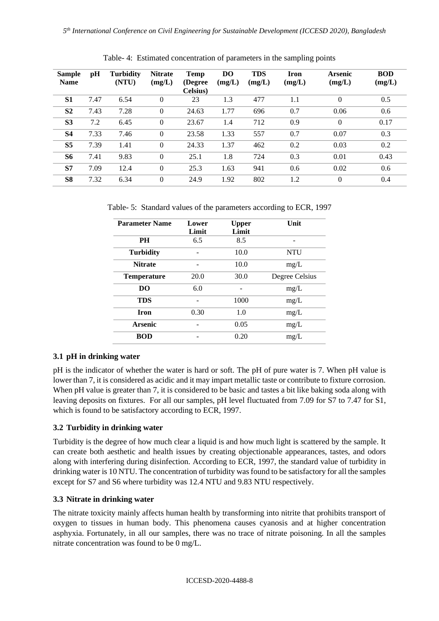| <b>Sample</b><br><b>Name</b> | pH   | <b>Turbidity</b><br>(NTU) | <b>Nitrate</b><br>(mg/L) | Temp<br>(Degree)<br>Celsius) | <b>DO</b><br>(mg/L) | <b>TDS</b><br>(mg/L) | <b>Iron</b><br>(mg/L) | <b>Arsenic</b><br>(mg/L) | <b>BOD</b><br>(mg/L) |
|------------------------------|------|---------------------------|--------------------------|------------------------------|---------------------|----------------------|-----------------------|--------------------------|----------------------|
| S <sub>1</sub>               | 7.47 | 6.54                      | $\overline{0}$           | 23                           | 1.3                 | 477                  | 1.1                   | $\theta$                 | 0.5                  |
| S <sub>2</sub>               | 7.43 | 7.28                      | $\overline{0}$           | 24.63                        | 1.77                | 696                  | 0.7                   | 0.06                     | 0.6                  |
| S <sub>3</sub>               | 7.2  | 6.45                      | $\overline{0}$           | 23.67                        | 1.4                 | 712                  | 0.9                   | $\mathbf{0}$             | 0.17                 |
| <b>S4</b>                    | 7.33 | 7.46                      | $\overline{0}$           | 23.58                        | 1.33                | 557                  | 0.7                   | 0.07                     | 0.3                  |
| S <sub>5</sub>               | 7.39 | 1.41                      | $\overline{0}$           | 24.33                        | 1.37                | 462                  | 0.2                   | 0.03                     | 0.2                  |
| S6                           | 7.41 | 9.83                      | $\overline{0}$           | 25.1                         | 1.8                 | 724                  | 0.3                   | 0.01                     | 0.43                 |
| S7                           | 7.09 | 12.4                      | $\overline{0}$           | 25.3                         | 1.63                | 941                  | 0.6                   | 0.02                     | 0.6                  |
| S <sub>8</sub>               | 7.32 | 6.34                      | $\overline{0}$           | 24.9                         | 1.92                | 802                  | 1.2                   | $\mathbf{0}$             | 0.4                  |

Table- 4: Estimated concentration of parameters in the sampling points

Table- 5: Standard values of the parameters according to ECR, 1997

| <b>Parameter Name</b> | Lower<br>Limit | <b>Upper</b><br>Limit | Unit           |
|-----------------------|----------------|-----------------------|----------------|
| <b>PH</b>             | 6.5            | 8.5                   |                |
| <b>Turbidity</b>      |                | 10.0                  | <b>NTU</b>     |
| <b>Nitrate</b>        |                | 10.0                  | mg/L           |
| <b>Temperature</b>    | 20.0           | 30.0                  | Degree Celsius |
| <b>DO</b>             | 6.0            |                       | mg/L           |
| <b>TDS</b>            |                | 1000                  | mg/L           |
| <b>Iron</b>           | 0.30           | 1.0                   | mg/L           |
| <b>Arsenic</b>        |                | 0.05                  | mg/L           |
| <b>BOD</b>            |                | 0.20                  | mg/L           |

# **3.1 pH in drinking water**

pH is the indicator of whether the water is hard or soft. The pH of pure water is 7. When pH value is lower than 7, it is considered as acidic and it may impart metallic taste or contribute to fixture corrosion. When pH value is greater than 7, it is considered to be basic and tastes a bit like baking soda along with leaving deposits on fixtures. For all our samples, pH level fluctuated from 7.09 for S7 to 7.47 for S1, which is found to be satisfactory according to ECR, 1997.

# **3.2 Turbidity in drinking water**

Turbidity is the degree of how much clear a liquid is and how much light is scattered by the sample. It can create both aesthetic and health issues by creating objectionable appearances, tastes, and odors along with interfering during disinfection. According to ECR, 1997, the standard value of turbidity in drinking water is 10 NTU. The concentration of turbidity was found to be satisfactory for all the samples except for S7 and S6 where turbidity was 12.4 NTU and 9.83 NTU respectively.

# **3.3 Nitrate in drinking water**

The nitrate toxicity mainly affects human health by transforming into nitrite that prohibits transport of oxygen to tissues in human body. This phenomena causes cyanosis and at higher concentration asphyxia. Fortunately, in all our samples, there was no trace of nitrate poisoning. In all the samples nitrate concentration was found to be 0 mg/L.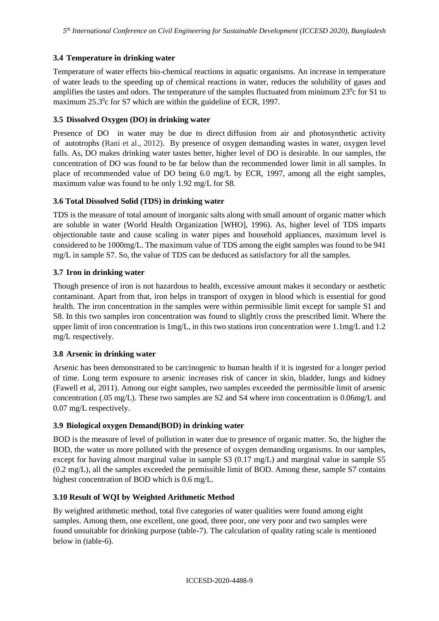# **3.4 Temperature in drinking water**

Temperature of water effects bio-chemical reactions in aquatic organisms. An increase in temperature of water leads to the speeding up of chemical reactions in water, reduces the solubility of gases and amplifies the tastes and odors. The temperature of the samples fluctuated from minimum  $23^\circ$ c for S1 to maximum  $25.3^{\circ}$ c for S7 which are within the guideline of ECR, 1997.

## **3.5 Dissolved Oxygen (DO) in drinking water**

Presence of DO in water may be due to direct diffusion from air and photosynthetic activity of autotrophs (Rani et al., 2012). By presence of oxygen demanding wastes in water, oxygen level falls. As, DO makes drinking water tastes better, higher level of DO is desirable. In our samples, the concentration of DO was found to be far below than the recommended lower limit in all samples. In place of recommended value of DO being 6.0 mg/L by ECR, 1997, among all the eight samples, maximum value was found to be only 1.92 mg/L for S8.

## **3.6 Total Dissolved Solid (TDS) in drinking water**

TDS is the measure of total amount of inorganic salts along with small amount of organic matter which are soluble in water (World Health Organization [WHO], 1996). As, higher level of TDS imparts objectionable taste and cause scaling in water pipes and household appliances, maximum level is considered to be 1000mg/L. The maximum value of TDS among the eight samples was found to be 941 mg/L in sample S7. So, the value of TDS can be deduced as satisfactory for all the samples.

## **3.7 Iron in drinking water**

Though presence of iron is not hazardous to health, excessive amount makes it secondary or aesthetic contaminant. Apart from that, iron helps in transport of oxygen in blood which is essential for good health. The iron concentration in the samples were within permissible limit except for sample S1 and S8. In this two samples iron concentration was found to slightly cross the prescribed limit. Where the upper limit of iron concentration is 1mg/L, in this two stations iron concentration were 1.1mg/L and 1.2 mg/L respectively.

# **3.8 Arsenic in drinking water**

Arsenic has been demonstrated to be carcinogenic to human health if it is ingested for a longer period of time. Long term exposure to arsenic increases risk of cancer in skin, bladder, lungs and kidney (Fawell et al, 2011). Among our eight samples, two samples exceeded the permissible limit of arsenic concentration (.05 mg/L). These two samples are S2 and S4 where iron concentration is 0.06mg/L and 0.07 mg/L respectively.

# **3.9 Biological oxygen Demand(BOD) in drinking water**

BOD is the measure of level of pollution in water due to presence of organic matter. So, the higher the BOD, the water us more polluted with the presence of oxygen demanding organisms. In our samples, except for having almost marginal value in sample S3 (0.17 mg/L) and marginal value in sample S5 (0.2 mg/L), all the samples exceeded the permissible limit of BOD. Among these, sample S7 contains highest concentration of BOD which is 0.6 mg/L.

# **3.10 Result of WQI by Weighted Arithmetic Method**

By weighted arithmetic method, total five categories of water qualities were found among eight samples. Among them, one excellent, one good, three poor, one very poor and two samples were found unsuitable for drinking purpose (table-7). The calculation of quality rating scale is mentioned below in (table-6).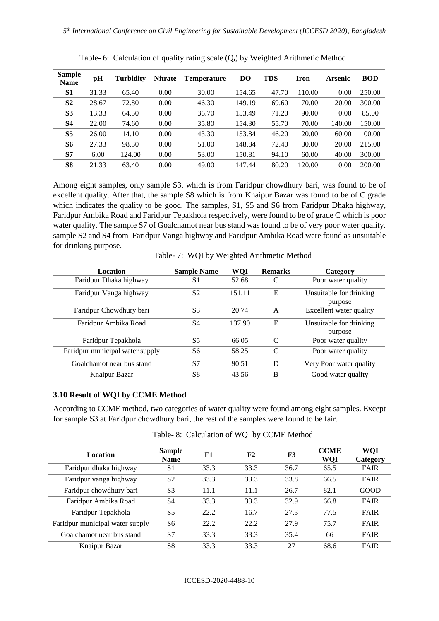| <b>Sample</b><br><b>Name</b> | рH    | <b>Turbidity</b> | <b>Nitrate</b> | <b>Temperature</b> | <b>DO</b> | <b>TDS</b> | <b>Iron</b> | Arsenic | <b>BOD</b> |
|------------------------------|-------|------------------|----------------|--------------------|-----------|------------|-------------|---------|------------|
| <b>S1</b>                    | 31.33 | 65.40            | 0.00           | 30.00              | 154.65    | 47.70      | 110.00      | 0.00    | 250.00     |
| S <sub>2</sub>               | 28.67 | 72.80            | 0.00           | 46.30              | 149.19    | 69.60      | 70.00       | 120.00  | 300.00     |
| S <sub>3</sub>               | 13.33 | 64.50            | 0.00           | 36.70              | 153.49    | 71.20      | 90.00       | 0.00    | 85.00      |
| <b>S4</b>                    | 22.00 | 74.60            | 0.00           | 35.80              | 154.30    | 55.70      | 70.00       | 140.00  | 150.00     |
| S <sub>5</sub>               | 26.00 | 14.10            | 0.00           | 43.30              | 153.84    | 46.20      | 20.00       | 60.00   | 100.00     |
| S6                           | 27.33 | 98.30            | 0.00           | 51.00              | 148.84    | 72.40      | 30.00       | 20.00   | 215.00     |
| S7                           | 6.00  | 124.00           | 0.00           | 53.00              | 150.81    | 94.10      | 60.00       | 40.00   | 300.00     |
| S <sub>8</sub>               | 21.33 | 63.40            | 0.00           | 49.00              | 147.44    | 80.20      | 120.00      | 0.00    | 200.00     |

Table- 6: Calculation of quality rating scale (Q<sub>i</sub>) by Weighted Arithmetic Method

Among eight samples, only sample S3, which is from Faridpur chowdhury bari, was found to be of excellent quality. After that, the sample S8 which is from Knaipur Bazar was found to be of C grade which indicates the quality to be good. The samples, S1, S5 and S6 from Faridpur Dhaka highway, Faridpur Ambika Road and Faridpur Tepakhola respectively, were found to be of grade C which is poor water quality. The sample S7 of Goalchamot near bus stand was found to be of very poor water quality. sample S2 and S4 from Faridpur Vanga highway and Faridpur Ambika Road were found as unsuitable for drinking purpose.

Table- 7: WQI by Weighted Arithmetic Method

| Location                        | <b>Sample Name</b> | WQI    | <b>Remarks</b> | Category                           |
|---------------------------------|--------------------|--------|----------------|------------------------------------|
| Faridpur Dhaka highway          | S <sub>1</sub>     | 52.68  | C              | Poor water quality                 |
| Faridpur Vanga highway          | S <sub>2</sub>     | 151.11 | E              | Unsuitable for drinking<br>purpose |
| Faridpur Chowdhury bari         | S <sub>3</sub>     | 20.74  | A              | Excellent water quality            |
| Faridpur Ambika Road            | S4                 | 137.90 | E              | Unsuitable for drinking<br>purpose |
| Faridpur Tepakhola              | S5                 | 66.05  | C              | Poor water quality                 |
| Faridpur municipal water supply | S6                 | 58.25  | C              | Poor water quality                 |
| Goalchamot near bus stand       | S7                 | 90.51  | D              | Very Poor water quality            |
| Knaipur Bazar                   | S8                 | 43.56  | B              | Good water quality                 |

### **3.10 Result of WQI by CCME Method**

According to CCME method, two categories of water quality were found among eight samples. Except for sample S3 at Faridpur chowdhury bari, the rest of the samples were found to be fair.

| Location                        | <b>Sample</b><br><b>Name</b> | F1   | F2   | F3   | <b>CCME</b><br>WQI | WQI<br>Category |
|---------------------------------|------------------------------|------|------|------|--------------------|-----------------|
| Faridpur dhaka highway          | S <sub>1</sub>               | 33.3 | 33.3 | 36.7 | 65.5               | <b>FAIR</b>     |
| Faridpur vanga highway          | S <sub>2</sub>               | 33.3 | 33.3 | 33.8 | 66.5               | <b>FAIR</b>     |
| Faridpur chowdhury bari         | S <sub>3</sub>               | 11.1 | 11.1 | 26.7 | 82.1               | GOOD            |
| Faridpur Ambika Road            | S4                           | 33.3 | 33.3 | 32.9 | 66.8               | <b>FAIR</b>     |
| Faridpur Tepakhola              | S <sub>5</sub>               | 22.2 | 16.7 | 27.3 | 77.5               | <b>FAIR</b>     |
| Faridpur municipal water supply | S6                           | 22.2 | 22.2 | 27.9 | 75.7               | <b>FAIR</b>     |
| Goalchamot near bus stand       | S7                           | 33.3 | 33.3 | 35.4 | 66                 | <b>FAIR</b>     |
| Knaipur Bazar                   | S <sup>8</sup>               | 33.3 | 33.3 | 27   | 68.6               | <b>FAIR</b>     |

Table- 8: Calculation of WQI by CCME Method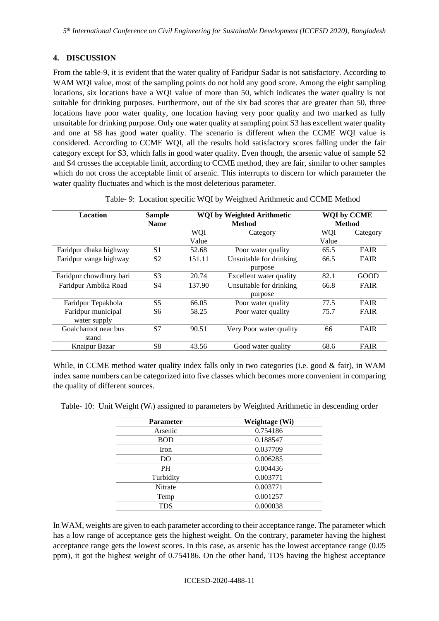# **4. DISCUSSION**

From the table-9, it is evident that the water quality of Faridpur Sadar is not satisfactory. According to WAM WOI value, most of the sampling points do not hold any good score. Among the eight sampling locations, six locations have a WQI value of more than 50, which indicates the water quality is not suitable for drinking purposes. Furthermore, out of the six bad scores that are greater than 50, three locations have poor water quality, one location having very poor quality and two marked as fully unsuitable for drinking purpose. Only one water quality at sampling point S3 has excellent water quality and one at S8 has good water quality. The scenario is different when the CCME WQI value is considered. According to CCME WQI, all the results hold satisfactory scores falling under the fair category except for S3, which falls in good water quality. Even though, the arsenic value of sample S2 and S4 crosses the acceptable limit, according to CCME method, they are fair, similar to other samples which do not cross the acceptable limit of arsenic. This interrupts to discern for which parameter the water quality fluctuates and which is the most deleterious parameter.

| Location                | <b>Sample</b><br><b>Name</b> |            | <b>WQI</b> by Weighted Arithmetic<br><b>WQI by CCME</b><br><b>Method</b><br><b>Method</b> |            |             |
|-------------------------|------------------------------|------------|-------------------------------------------------------------------------------------------|------------|-------------|
|                         |                              | <b>WOI</b> | Category                                                                                  | <b>WQI</b> | Category    |
|                         |                              | Value      |                                                                                           | Value      |             |
| Faridpur dhaka highway  | S <sub>1</sub>               | 52.68      | Poor water quality                                                                        | 65.5       | <b>FAIR</b> |
| Faridpur vanga highway  | S <sub>2</sub>               | 151.11     | Unsuitable for drinking                                                                   | 66.5       | <b>FAIR</b> |
|                         |                              |            | purpose                                                                                   |            |             |
| Faridpur chowdhury bari | S <sub>3</sub>               | 20.74      | Excellent water quality                                                                   | 82.1       | GOOD        |
| Faridpur Ambika Road    | S <sub>4</sub>               | 137.90     | Unsuitable for drinking                                                                   | 66.8       | <b>FAIR</b> |
|                         |                              |            | purpose                                                                                   |            |             |
| Faridpur Tepakhola      | S5                           | 66.05      | Poor water quality                                                                        | 77.5       | <b>FAIR</b> |
| Faridpur municipal      | S <sub>6</sub>               | 58.25      | Poor water quality                                                                        | 75.7       | <b>FAIR</b> |
| water supply            |                              |            |                                                                                           |            |             |
| Goalchamot near bus     | S7                           | 90.51      | Very Poor water quality                                                                   | 66         | <b>FAIR</b> |
| stand                   |                              |            |                                                                                           |            |             |
| Knaipur Bazar           | S <sup>8</sup>               | 43.56      | Good water quality                                                                        | 68.6       | <b>FAIR</b> |

Table- 9: Location specific WQI by Weighted Arithmetic and CCME Method

While, in CCME method water quality index falls only in two categories (i.e. good & fair), in WAM index same numbers can be categorized into five classes which becomes more convenient in comparing the quality of different sources.

Table- 10: Unit Weight (Wi) assigned to parameters by Weighted Arithmetic in descending order

| <b>Parameter</b> | Weightage (Wi) |
|------------------|----------------|
| Arsenic          | 0.754186       |
| <b>BOD</b>       | 0.188547       |
| <b>Iron</b>      | 0.037709       |
| DO               | 0.006285       |
| <b>PH</b>        | 0.004436       |
| Turbidity        | 0.003771       |
| <b>Nitrate</b>   | 0.003771       |
| Temp             | 0.001257       |
| <b>TDS</b>       | 0.000038       |
|                  |                |

In WAM, weights are given to each parameter according to their acceptance range. The parameter which has a low range of acceptance gets the highest weight. On the contrary, parameter having the highest acceptance range gets the lowest scores. In this case, as arsenic has the lowest acceptance range (0.05 ppm), it got the highest weight of 0.754186. On the other hand, TDS having the highest acceptance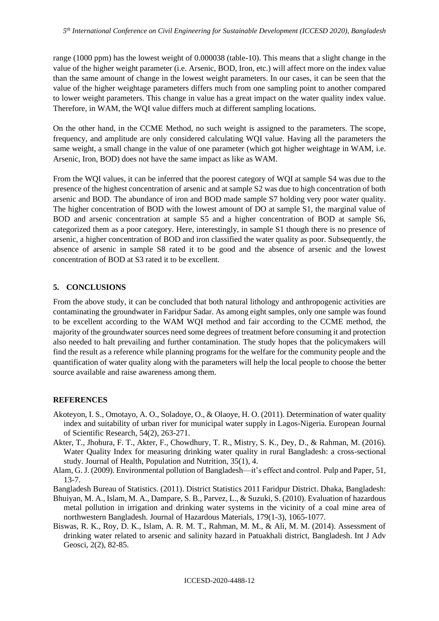range (1000 ppm) has the lowest weight of 0.000038 (table-10). This means that a slight change in the value of the higher weight parameter (i.e. Arsenic, BOD, Iron, etc.) will affect more on the index value than the same amount of change in the lowest weight parameters. In our cases, it can be seen that the value of the higher weightage parameters differs much from one sampling point to another compared to lower weight parameters. This change in value has a great impact on the water quality index value. Therefore, in WAM, the WQI value differs much at different sampling locations.

On the other hand, in the CCME Method, no such weight is assigned to the parameters. The scope, frequency, and amplitude are only considered calculating WQI value. Having all the parameters the same weight, a small change in the value of one parameter (which got higher weightage in WAM, i.e. Arsenic, Iron, BOD) does not have the same impact as like as WAM.

From the WQI values, it can be inferred that the poorest category of WQI at sample S4 was due to the presence of the highest concentration of arsenic and at sample S2 was due to high concentration of both arsenic and BOD. The abundance of iron and BOD made sample S7 holding very poor water quality. The higher concentration of BOD with the lowest amount of DO at sample S1, the marginal value of BOD and arsenic concentration at sample S5 and a higher concentration of BOD at sample S6, categorized them as a poor category. Here, interestingly, in sample S1 though there is no presence of arsenic, a higher concentration of BOD and iron classified the water quality as poor. Subsequently, the absence of arsenic in sample S8 rated it to be good and the absence of arsenic and the lowest concentration of BOD at S3 rated it to be excellent.

## **5. CONCLUSIONS**

From the above study, it can be concluded that both natural lithology and anthropogenic activities are contaminating the groundwater in Faridpur Sadar. As among eight samples, only one sample was found to be excellent according to the WAM WQI method and fair according to the CCME method, the majority of the groundwater sources need some degrees of treatment before consuming it and protection also needed to halt prevailing and further contamination. The study hopes that the policymakers will find the result as a reference while planning programs for the welfare for the community people and the quantification of water quality along with the parameters will help the local people to choose the better source available and raise awareness among them.

## **REFERENCES**

- Akoteyon, I. S., Omotayo, A. O., Soladoye, O., & Olaoye, H. O. (2011). Determination of water quality index and suitability of urban river for municipal water supply in Lagos-Nigeria. European Journal of Scientific Research, 54(2), 263-271.
- Akter, T., Jhohura, F. T., Akter, F., Chowdhury, T. R., Mistry, S. K., Dey, D., & Rahman, M. (2016). Water Quality Index for measuring drinking water quality in rural Bangladesh: a cross-sectional study. Journal of Health, Population and Nutrition, 35(1), 4.
- Alam, G. J. (2009). Environmental pollution of Bangladesh—it's effect and control. Pulp and Paper, 51, 13-7.

Bangladesh Bureau of Statistics. (2011). District Statistics 2011 Faridpur District. Dhaka, Bangladesh:

- Bhuiyan, M. A., Islam, M. A., Dampare, S. B., Parvez, L., & Suzuki, S. (2010). Evaluation of hazardous metal pollution in irrigation and drinking water systems in the vicinity of a coal mine area of northwestern Bangladesh. Journal of Hazardous Materials, 179(1-3), 1065-1077.
- Biswas, R. K., Roy, D. K., Islam, A. R. M. T., Rahman, M. M., & Ali, M. M. (2014). Assessment of drinking water related to arsenic and salinity hazard in Patuakhali district, Bangladesh. Int J Adv Geosci, 2(2), 82-85.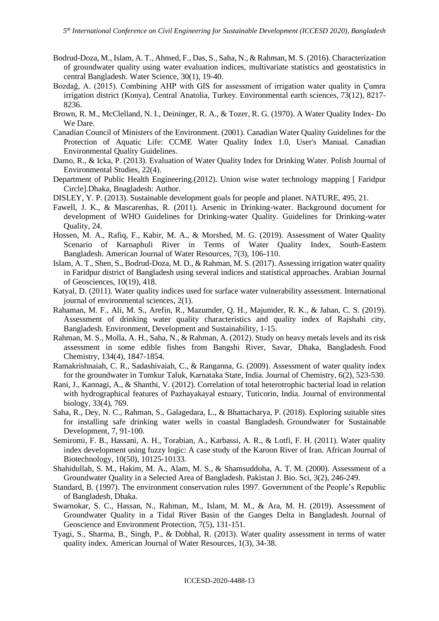- Bodrud-Doza, M., Islam, A. T., Ahmed, F., Das, S., Saha, N., & Rahman, M. S. (2016). Characterization of groundwater quality using water evaluation indices, multivariate statistics and geostatistics in central Bangladesh. Water Science, 30(1), 19-40.
- Bozdağ, A. (2015). Combining AHP with GIS for assessment of irrigation water quality in Çumra irrigation district (Konya), Central Anatolia, Turkey. Environmental earth sciences, 73(12), 8217- 8236.
- Brown, R. M., McClelland, N. I., Deininger, R. A., & Tozer, R. G. (1970). A Water Quality Index- Do We Dare.
- Canadian Council of Ministers of the Environment. (2001). Canadian Water Quality Guidelines for the Protection of Aquatic Life: CCME Water Quality Index 1.0, User's Manual. Canadian Environmental Quality Guidelines.
- Damo, R., & Icka, P. (2013). Evaluation of Water Quality Index for Drinking Water. Polish Journal of Environmental Studies, 22(4).
- Department of Public Health Engineering.(2012). Union wise water technology mapping [ Faridpur Circle].Dhaka, Bnagladesh: Author.
- DISLEY, Y. P. (2013). Sustainable development goals for people and planet. NATURE, 495, 21.
- Fawell, J. K., & Mascarenhas, R. (2011). Arsenic in Drinking-water. Background document for development of WHO Guidelines for Drinking-water Quality. Guidelines for Drinking-water Quality, 24.
- Hossen, M. A., Rafiq, F., Kabir, M. A., & Morshed, M. G. (2019). Assessment of Water Quality Scenario of Karnaphuli River in Terms of Water Quality Index, South-Eastern Bangladesh. American Journal of Water Resources, 7(3), 106-110.
- Islam, A. T., Shen, S., Bodrud-Doza, M. D., & Rahman, M. S. (2017). Assessing irrigation water quality in Faridpur district of Bangladesh using several indices and statistical approaches. Arabian Journal of Geosciences, 10(19), 418.
- Katyal, D. (2011). Water quality indices used for surface water vulnerability assessment. International journal of environmental sciences, 2(1).
- Rahaman, M. F., Ali, M. S., Arefin, R., Mazumder, Q. H., Majumder, R. K., & Jahan, C. S. (2019). Assessment of drinking water quality characteristics and quality index of Rajshahi city, Bangladesh. Environment, Development and Sustainability, 1-15.
- Rahman, M. S., Molla, A. H., Saha, N., & Rahman, A. (2012). Study on heavy metals levels and its risk assessment in some edible fishes from Bangshi River, Savar, Dhaka, Bangladesh. Food Chemistry, 134(4), 1847-1854.
- Ramakrishnaiah, C. R., Sadashivaiah, C., & Ranganna, G. (2009). Assessment of water quality index for the groundwater in Tumkur Taluk, Karnataka State, India. Journal of Chemistry, 6(2), 523-530.
- Rani, J., Kannagi, A., & Shanthi, V. (2012). Correlation of total heterotrophic bacterial load in relation with hydrographical features of Pazhayakayal estuary, Tuticorin, India. Journal of environmental biology, 33(4), 769.
- Saha, R., Dey, N. C., Rahman, S., Galagedara, L., & Bhattacharya, P. (2018). Exploring suitable sites for installing safe drinking water wells in coastal Bangladesh. Groundwater for Sustainable Development, 7, 91-100.
- Semiromi, F. B., Hassani, A. H., Torabian, A., Karbassi, A. R., & Lotfi, F. H. (2011). Water quality index development using fuzzy logic: A case study of the Karoon River of Iran. African Journal of Biotechnology, 10(50), 10125-10133.
- Shahidullah, S. M., Hakim, M. A., Alam, M. S., & Shamsuddoha, A. T. M. (2000). Assessment of a Groundwater Quality in a Selected Area of Bangladesh. Pakistan J. Bio. Sci, 3(2), 246-249.
- Standard, B. (1997). The environment conservation rules 1997. Government of the People's Republic of Bangladesh, Dhaka.
- Swarnokar, S. C., Hassan, N., Rahman, M., Islam, M. M., & Ara, M. H. (2019). Assessment of Groundwater Quality in a Tidal River Basin of the Ganges Delta in Bangladesh. Journal of Geoscience and Environment Protection, 7(5), 131-151.
- Tyagi, S., Sharma, B., Singh, P., & Dobhal, R. (2013). Water quality assessment in terms of water quality index. American Journal of Water Resources, 1(3), 34-38.